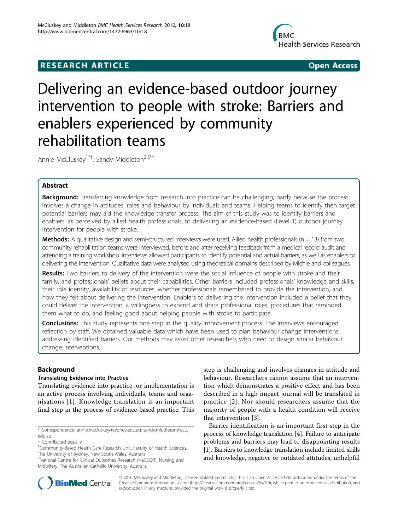# **RESEARCH ARTICLE Example 2018 CONSIDERING ACCESS**



# Delivering an evidence-based outdoor journey intervention to people with stroke: Barriers and enablers experienced by community rehabilitation teams

Annie McCluskey<sup>1\*†</sup>, Sandy Middleton<sup>2,3\*†</sup>

# Abstract

**Background:** Transferring knowledge from research into practice can be challenging, partly because the process involves a change in attitudes, roles and behaviour by individuals and teams. Helping teams to identify then target potential barriers may aid the knowledge transfer process. The aim of this study was to identify barriers and enablers, as perceived by allied health professionals, to delivering an evidence-based (Level 1) outdoor journey intervention for people with stroke.

**Methods:** A qualitative design and semi-structured interviews were used. Allied health professionals ( $n = 13$ ) from two community rehabilitation teams were interviewed, before and after receiving feedback from a medical record audit and attending a training workshop. Interviews allowed participants to identify potential and actual barriers, as well as enablers to delivering the intervention. Qualitative data were analysed using theoretical domains described by Michie and colleagues.

Results: Two barriers to delivery of the intervention were the social influence of people with stroke and their family, and professionals' beliefs about their capabilities. Other barriers included professionals' knowledge and skills, their role identity, availability of resources, whether professionals remembered to provide the intervention, and how they felt about delivering the intervention. Enablers to delivering the intervention included a belief that they could deliver the intervention, a willingness to expand and share professional roles, procedures that reminded them what to do, and feeling good about helping people with stroke to participate.

**Conclusions:** This study represents one step in the quality improvement process. The interviews encouraged reflection by staff. We obtained valuable data which have been used to plan behaviour change interventions addressing identified barriers. Our methods may assist other researchers who need to design similar behaviour change interventions.

# Background

# Translating Evidence into Practice

Translating evidence into practice, or implementation is an active process involving individuals, teams and organisations [[1\]](#page-13-0). Knowledge translation is an important final step in the process of evidence-based practice. This

\* Correspondence: [annie.mccluskey@sydney.edu.au;](mailto:annie.mccluskey@sydney.edu.au) [sandy.middleton@acu.](mailto:sandy.middleton@acu.edu.au) [edu.au](mailto:sandy.middleton@acu.edu.au)

step is challenging and involves changes in attitude and behaviour. Researchers cannot assume that an intervention which demonstrates a positive effect and has been described in a high impact journal will be translated in practice [[2\]](#page-13-0). Nor should researchers assume that the majority of people with a health condition will receive that intervention [[3\]](#page-13-0).

Barrier identification is an important first step in the process of knowledge translation [\[4](#page-13-0)]. Failure to anticipate problems and barriers may lead to disappointing results [[1\]](#page-13-0). Barriers to knowledge translation include limited skills and knowledge, negative or outdated attitudes, unhelpful



© 2010 McCluskey and Middleton; licensee BioMed Central Ltd. This is an Open Access article distributed under the terms of the Creative Commons Attribution License (<http://creativecommons.org/licenses/by/2.0>), which permits unrestricted use, distribution, and reproduction in any medium, provided the original work is properly cited.

<sup>†</sup> Contributed equally <sup>1</sup>

<sup>&</sup>lt;sup>1</sup> Community-Based Health Care Research Unit, Faculty of Health Sciences, The University of Sydney, New South Wales, Australia

<sup>&</sup>lt;sup>2</sup>National Centre for Clinical Outcomes Research (NaCCOR), Nursing and Midwifery, The Australian Catholic University, Australia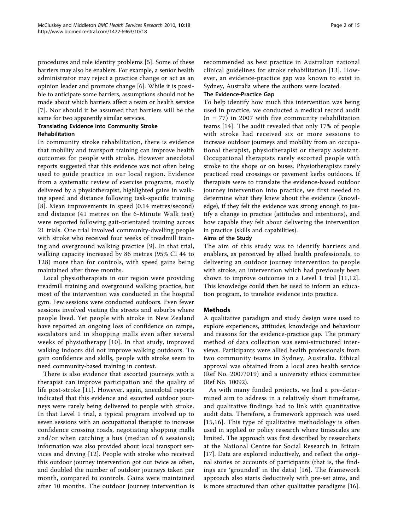procedures and role identity problems [[5\]](#page-13-0). Some of these barriers may also be enablers. For example, a senior health administrator may reject a practice change or act as an opinion leader and promote change [\[6](#page-13-0)]. While it is possible to anticipate some barriers, assumptions should not be made about which barriers affect a team or health service [[7](#page-13-0)]. Nor should it be assumed that barriers will be the same for two apparently similar services.

# Translating Evidence into Community Stroke Rehabilitation

In community stroke rehabilitation, there is evidence that mobility and transport training can improve health outcomes for people with stroke. However anecdotal reports suggested that this evidence was not often being used to guide practice in our local region. Evidence from a systematic review of exercise programs, mostly delivered by a physiotherapist, highlighted gains in walking speed and distance following task-specific training [[8\]](#page-13-0). Mean improvements in speed (0.14 metres/second) and distance (41 metres on the 6-Minute Walk test) were reported following gait-orientated training across 21 trials. One trial involved community-dwelling people with stroke who received four weeks of treadmill training and overground walking practice [\[9](#page-13-0)]. In that trial, walking capacity increased by 86 metres (95% CI 44 to 128) more than for controls, with speed gains being maintained after three months.

Local physiotherapists in our region were providing treadmill training and overground walking practice, but most of the intervention was conducted in the hospital gym. Few sessions were conducted outdoors. Even fewer sessions involved visiting the streets and suburbs where people lived. Yet people with stroke in New Zealand have reported an ongoing loss of confidence on ramps, escalators and in shopping malls even after several weeks of physiotherapy [[10\]](#page-13-0). In that study, improved walking indoors did not improve walking outdoors. To gain confidence and skills, people with stroke seem to need community-based training in context.

There is also evidence that escorted journeys with a therapist can improve participation and the quality of life post-stroke [[11](#page-13-0)]. However, again, anecdotal reports indicated that this evidence and escorted outdoor journeys were rarely being delivered to people with stroke. In that Level 1 trial, a typical program involved up to seven sessions with an occupational therapist to increase confidence crossing roads, negotiating shopping malls and/or when catching a bus (median of 6 sessions); information was also provided about local transport services and driving [[12\]](#page-13-0). People with stroke who received this outdoor journey intervention got out twice as often, and doubled the number of outdoor journeys taken per month, compared to controls. Gains were maintained after 10 months. The outdoor journey intervention is recommended as best practice in Australian national clinical guidelines for stroke rehabilitation [\[13\]](#page-13-0). However, an evidence-practice gap was known to exist in Sydney, Australia where the authors were located.

# The Evidence-Practice Gap

To help identify how much this intervention was being used in practice, we conducted a medical record audit  $(n = 77)$  in 2007 with five community rehabilitation teams [[14](#page-13-0)]. The audit revealed that only 17% of people with stroke had received six or more sessions to increase outdoor journeys and mobility from an occupational therapist, physiotherapist or therapy assistant. Occupational therapists rarely escorted people with stroke to the shops or on buses. Physiotherapists rarely practiced road crossings or pavement kerbs outdoors. If therapists were to translate the evidence-based outdoor journey intervention into practice, we first needed to determine what they knew about the evidence (knowledge), if they felt the evidence was strong enough to justify a change in practice (attitudes and intentions), and how capable they felt about delivering the intervention in practice (skills and capabilities).

# Aims of the Study

The aim of this study was to identify barriers and enablers, as perceived by allied health professionals, to delivering an outdoor journey intervention to people with stroke, an intervention which had previously been shown to improve outcomes in a Level 1 trial [[11](#page-13-0),[12](#page-13-0)]. This knowledge could then be used to inform an education program, to translate evidence into practice.

# Methods

A qualitative paradigm and study design were used to explore experiences, attitudes, knowledge and behaviour and reasons for the evidence-practice gap. The primary method of data collection was semi-structured interviews. Participants were allied health professionals from two community teams in Sydney, Australia. Ethical approval was obtained from a local area health service (Ref No. 2007/019) and a university ethics committee (Ref No. 10092).

As with many funded projects, we had a pre-determined aim to address in a relatively short timeframe, and qualitative findings had to link with quantitative audit data. Therefore, a framework approach was used [[15,16](#page-13-0)]. This type of qualitative methodology is often used in applied or policy research where timescales are limited. The approach was first described by researchers at the National Centre for Social Research in Britain [[17\]](#page-13-0). Data are explored inductively, and reflect the original stories or accounts of participants (that is, the findings are 'grounded' in the data) [[16\]](#page-13-0). The framework approach also starts deductively with pre-set aims, and is more structured than other qualitative paradigms [[16](#page-13-0)].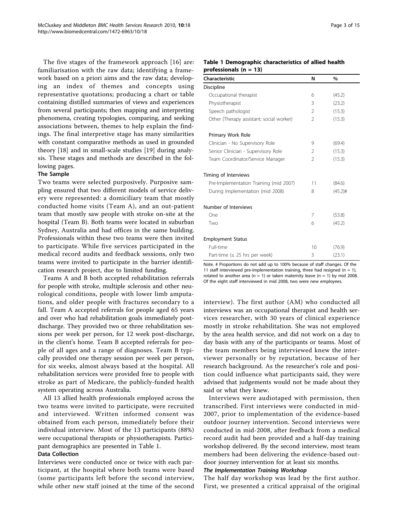The five stages of the framework approach [[16](#page-13-0)] are: familiarisation with the raw data; identifying a framework based on a priori aims and the raw data; developing an index of themes and concepts using representative quotations; producing a chart or table containing distilled summaries of views and experiences from several participants; then mapping and interpreting phenomena, creating typologies, comparing, and seeking associations between, themes to help explain the findings. The final interpretive stage has many similarities with constant comparative methods as used in grounded theory [\[18](#page-13-0)] and in small-scale studies [[19\]](#page-13-0) during analysis. These stages and methods are described in the following pages.

#### The Sample

Two teams were selected purposively. Purposive sampling ensured that two different models of service delivery were represented: a domiciliary team that mostly conducted home visits (Team A), and an out-patient team that mostly saw people with stroke on-site at the hospital (Team B). Both teams were located in suburban Sydney, Australia and had offices in the same building. Professionals within these two teams were then invited to participate. While five services participated in the medical record audits and feedback sessions, only two teams were invited to participate in the barrier identification research project, due to limited funding.

Teams A and B both accepted rehabilitation referrals for people with stroke, multiple sclerosis and other neurological conditions, people with lower limb amputations, and older people with fractures secondary to a fall. Team A accepted referrals for people aged 65 years and over who had rehabilitation goals immediately postdischarge. They provided two or three rehabilitation sessions per week per person, for 12 week post-discharge, in the client's home. Team B accepted referrals for people of all ages and a range of diagnoses. Team B typically provided one therapy session per week per person, for six weeks, almost always based at the hospital. All rehabilitation services were provided free to people with stroke as part of Medicare, the publicly-funded health system operating across Australia.

All 13 allied health professionals employed across the two teams were invited to participate, were recruited and interviewed. Written informed consent was obtained from each person, immediately before their individual interview. Most of the 13 participants (88%) were occupational therapists or physiotherapists. Participant demographics are presented in Table 1.

#### Data Collection

Interviews were conducted once or twice with each participant, at the hospital where both teams were based (some participants left before the second interview, while other new staff joined at the time of the second

# Page 3 of 15

# Table 1 Demographic characteristics of allied health professionals  $(n = 13)$

| Characteristic                           | N              | $\%$       |
|------------------------------------------|----------------|------------|
| Discipline                               |                |            |
| Occupational therapist                   | 6              | (45.2)     |
| Physiotherapist                          | 3              | (23.2)     |
| Speech pathologist                       | 2              | (15.3)     |
| Other (Therapy assistant; social worker) | $\mathfrak{D}$ | (15.3)     |
| Primary Work Role                        |                |            |
| Clinician - No Supervisory Role          | 9              | (69.4)     |
| Senior Clinician - Supervisory Role      | 2              | (15.3)     |
| Team Coordinator/Service Manager         | 2              | (15.3)     |
| Timing of Interviews                     |                |            |
| Pre-Implementation Training (mid 2007)   | 11             | (84.6)     |
| During Implementation (mid 2008)         | 8              | $(45.2)$ # |
| Number of Interviews                     |                |            |
| One                                      | 7              | (53.8)     |
| Two                                      | 6              | (45.2)     |
| <b>Employment Status</b>                 |                |            |
| Full-time                                | 10             | (76.9)     |
| Part-time ( $\leq$ 25 hrs per week)      | 3              | (23.1)     |

Note. # Proportions do not add up to 100% because of staff changes. Of the 11 staff interviewed pre-implementation training, three had resigned ( $n = 1$ ), rotated to another area (n = 1) or taken maternity leave (n = 1) by mid 2008. Of the eight staff interviewed in mid 2008, two were new employees.

interview). The first author (AM) who conducted all interviews was an occupational therapist and health services researcher, with 30 years of clinical experience mostly in stroke rehabilitation. She was not employed by the area health service, and did not work on a day to day basis with any of the participants or teams. Most of the team members being interviewed knew the interviewer personally or by reputation, because of her research background. As the researcher's role and position could influence what participants said, they were advised that judgements would not be made about they said or what they knew.

Interviews were audiotaped with permission, then transcribed. First interviews were conducted in mid-2007, prior to implementation of the evidence-based outdoor journey intervention. Second interviews were conducted in mid-2008, after feedback from a medical record audit had been provided and a half-day training workshop delivered. By the second interview, most team members had been delivering the evidence-based outdoor journey intervention for at least six months.

#### The Implementation Training Workshop

The half day workshop was lead by the first author. First, we presented a critical appraisal of the original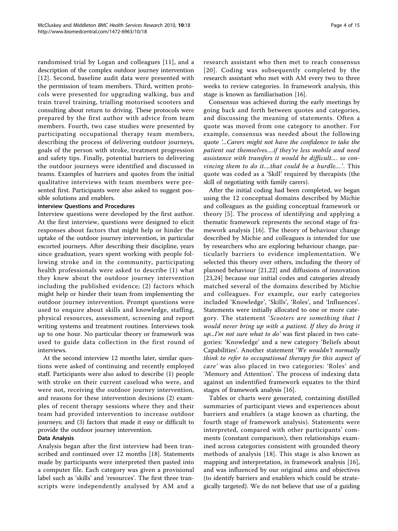randomised trial by Logan and colleagues [[11](#page-13-0)], and a description of the complex outdoor journey intervention [[12](#page-13-0)]. Second, baseline audit data were presented with the permission of team members. Third, written protocols were presented for upgrading walking, bus and train travel training, trialling motorised scooters and consulting about return to driving. These protocols were prepared by the first author with advice from team members. Fourth, two case studies were presented by participating occupational therapy team members, describing the process of delivering outdoor journeys, goals of the person with stroke, treatment progression and safety tips. Finally, potential barriers to delivering the outdoor journeys were identified and discussed in teams. Examples of barriers and quotes from the initial qualitative interviews with team members were presented first. Participants were also asked to suggest possible solutions and enablers.

# Interview Questions and Procedures

Interview questions were developed by the first author. At the first interview, questions were designed to elicit responses about factors that might help or hinder the uptake of the outdoor journey intervention, in particular escorted journeys. After describing their discipline, years since graduation, years spent working with people following stroke and in the community, participating health professionals were asked to describe (1) what they knew about the outdoor journey intervention including the published evidence; (2) factors which might help or hinder their team from implementing the outdoor journey intervention. Prompt questions were used to enquire about skills and knowledge, staffing, physical resources, assessment, screening and report writing systems and treatment routines. Interviews took up to one hour. No particular theory or framework was used to guide data collection in the first round of interviews.

At the second interview 12 months later, similar questions were asked of continuing and recently employed staff. Participants were also asked to describe (1) people with stroke on their current caseload who were, and were not, receiving the outdoor journey intervention, and reasons for these intervention decisions (2) examples of recent therapy sessions where they and their team had provided intervention to increase outdoor journeys; and (3) factors that made it easy or difficult to provide the outdoor journey intervention.

#### Data Analysis

Analysis began after the first interview had been transcribed and continued over 12 months [[18](#page-13-0)]. Statements made by participants were interpreted then pasted into a computer file. Each category was given a provisional label such as 'skills' and 'resources'. The first three transcripts were independently analysed by AM and a research assistant who then met to reach consensus [[20](#page-13-0)]. Coding was subsequently completed by the research assistant who met with AM every two to three weeks to review categories. In framework analysis, this stage is known as familiarisation [\[16](#page-13-0)].

Consensus was achieved during the early meetings by going back and forth between quotes and categories, and discussing the meaning of statements. Often a quote was moved from one category to another. For example, consensus was needed about the following quote '...Carers might not have the confidence to take the patient out themselves....if they're less mobile and need assistance with transfers it would be difficult.... so convincing them to do it....that could be a hurdle....'. This quote was coded as a 'Skill' required by therapists (the skill of negotiating with family carers).

After the initial coding had been completed, we began using the 12 conceptual domains described by Michie and colleagues as the guiding conceptual framework or theory [[5](#page-13-0)]. The process of identifying and applying a thematic framework represents the second stage of framework analysis [[16\]](#page-13-0). The theory of behaviour change described by Michie and colleagues is intended for use by researchers who are exploring behaviour change, particularly barriers to evidence implementation. We selected this theory over others, including the theory of planned behaviour [[21,22](#page-13-0)] and diffusions of innovation [[23,24](#page-13-0)] because our initial codes and categories already matched several of the domains described by Michie and colleagues. For example, our early categories included 'Knowledge', 'Skills', 'Roles', and 'Influences'. Statements were initially allocated to one or more category. The statement 'Scooters are something that I would never bring up with a patient. If they do bring it  $up...l'm$  not sure what to do' was first placed in two categories: 'Knowledge' and a new category 'Beliefs about Capabilities'. Another statement 'We wouldn't normally think to refer to occupational therapy for this aspect of care' was also placed in two categories: 'Roles' and 'Memory and Attention'. The process of indexing data against an indentified framework equates to the third stages of framework analysis [[16\]](#page-13-0).

Tables or charts were generated, containing distilled summaries of participant views and experiences about barriers and enablers (a stage known as charting, the fourth stage of framework analysis). Statements were interpreted, compared with other participants' comments (constant comparison), then relationships examined across categories consistent with grounded theory methods of analysis [[18\]](#page-13-0). This stage is also known as mapping and interpretation, in framework analysis [\[16](#page-13-0)], and was influenced by our original aims and objectives (to identify barriers and enablers which could be strategically targeted). We do not believe that use of a guiding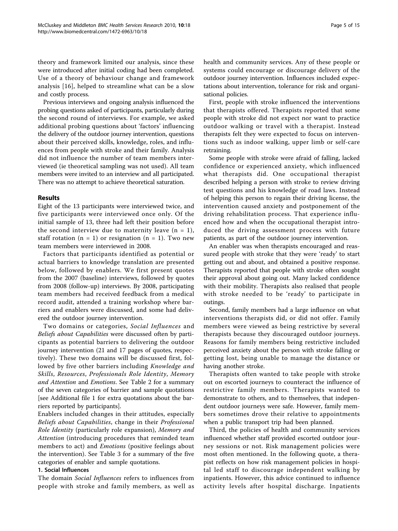theory and framework limited our analysis, since these were introduced after initial coding had been completed. Use of a theory of behaviour change and framework analysis [\[16\]](#page-13-0), helped to streamline what can be a slow and costly process.

Previous interviews and ongoing analysis influenced the probing questions asked of participants, particularly during the second round of interviews. For example, we asked additional probing questions about 'factors' influencing the delivery of the outdoor journey intervention, questions about their perceived skills, knowledge, roles, and influences from people with stroke and their family. Analysis did not influence the number of team members interviewed (ie theoretical sampling was not used). All team members were invited to an interview and all participated. There was no attempt to achieve theoretical saturation.

# Results

Eight of the 13 participants were interviewed twice, and five participants were interviewed once only. Of the initial sample of 13, three had left their position before the second interview due to maternity leave  $(n = 1)$ , staff rotation  $(n = 1)$  or resignation  $(n = 1)$ . Two new team members were interviewed in 2008.

Factors that participants identified as potential or actual barriers to knowledge translation are presented below, followed by enablers. We first present quotes from the 2007 (baseline) interviews, followed by quotes from 2008 (follow-up) interviews. By 2008, participating team members had received feedback from a medical record audit, attended a training workshop where barriers and enablers were discussed, and some had delivered the outdoor journey intervention.

Two domains or categories, Social Influences and Beliefs about Capabilities were discussed often by participants as potential barriers to delivering the outdoor journey intervention (21 and 17 pages of quotes, respectively). These two domains will be discussed first, followed by five other barriers including Knowledge and Skills, Resources, Professionals Role Identity, Memory and Attention and Emotions. See Table [2](#page-5-0) for a summary of the seven categories of barrier and sample quotations [see Additional file [1](#page-13-0) for extra quotations about the barriers reported by participants].

Enablers included changes in their attitudes, especially Beliefs about Capabilities, change in their Professional Role Identity (particularly role expansion), Memory and Attention (introducing procedures that reminded team members to act) and *Emotions* (positive feelings about the intervention). See Table [3](#page-6-0) for a summary of the five categories of enabler and sample quotations.

#### 1. Social Influences

The domain Social Influences refers to influences from people with stroke and family members, as well as health and community services. Any of these people or systems could encourage or discourage delivery of the outdoor journey intervention. Influences included expectations about intervention, tolerance for risk and organisational policies.

First, people with stroke influenced the interventions that therapists offered. Therapists reported that some people with stroke did not expect nor want to practice outdoor walking or travel with a therapist. Instead therapists felt they were expected to focus on interventions such as indoor walking, upper limb or self-care retraining.

Some people with stroke were afraid of falling, lacked confidence or experienced anxiety, which influenced what therapists did. One occupational therapist described helping a person with stroke to review driving test questions and his knowledge of road laws. Instead of helping this person to regain their driving license, the intervention caused anxiety and postponement of the driving rehabilitation process. That experience influenced how and when the occupational therapist introduced the driving assessment process with future patients, as part of the outdoor journey intervention.

An enabler was when therapists encouraged and reassured people with stroke that they were 'ready' to start getting out and about, and obtained a positive response. Therapists reported that people with stroke often sought their approval about going out. Many lacked confidence with their mobility. Therapists also realised that people with stroke needed to be 'ready' to participate in outings.

Second, family members had a large influence on what interventions therapists did, or did not offer. Family members were viewed as being restrictive by several therapists because they discouraged outdoor journeys. Reasons for family members being restrictive included perceived anxiety about the person with stroke falling or getting lost, being unable to manage the distance or having another stroke.

Therapists often wanted to take people with stroke out on escorted journeys to counteract the influence of restrictive family members. Therapists wanted to demonstrate to others, and to themselves, that independent outdoor journeys were safe. However, family members sometimes drove their relative to appointments when a public transport trip had been planned.

Third, the policies of health and community services influenced whether staff provided escorted outdoor journey sessions or not. Risk management policies were most often mentioned. In the following quote, a therapist reflects on how risk management policies in hospital led staff to discourage independent walking by inpatients. However, this advice continued to influence activity levels after hospital discharge. Inpatients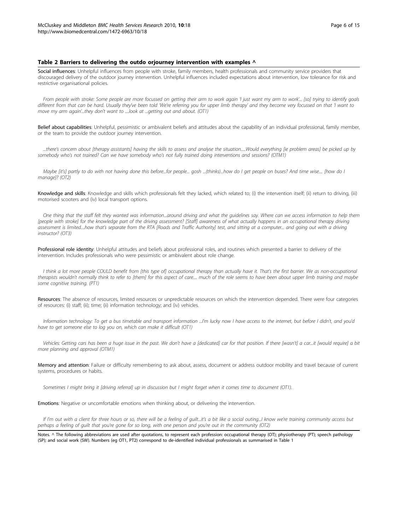#### <span id="page-5-0"></span>Table 2 Barriers to delivering the outdo orjourney intervention with examples  $\wedge$

Social influences: Unhelpful influences from people with stroke, family members, health professionals and community service providers that discouraged delivery of the outdoor journey intervention. Unhelpful influences included expectations about intervention, low tolerance for risk and restrictive organisational policies.

From people with stroke: Some people are more focussed on getting their arm to work again 'I just want my arm to work'... [so] trying to identify goals different from that can be hard. Usually they've been told 'We're referring you for upper limb therapy' and they become very focussed on that 'I want to move my arm again'...they don't want to ....look at ...getting out and about. (OT1)

Belief about capabilities: Unhelpful, pessimistic or ambivalent beliefs and attitudes about the capability of an individual professional, family member, or the team to provide the outdoor journey intervention.

...there's concern about [therapy assistants] having the skills to assess and analyse the situation.....Would everything [ie problem areas] be picked up by somebody who's not trained? Can we have somebody who's not fully trained doing interventions and sessions? (OTM1)

Maybe [it's] partly to do with not having done this before...for people... gosh ...(thinks)...how do I get people on buses? And time wise.... [how do I manage]? (OT2)

Knowledge and skills: Knowledge and skills which professionals felt they lacked, which related to; (i) the intervention itself; (ii) return to driving, (iii) motorised scooters and (iv) local transport options.

One thing that the staff felt they wanted was information...around driving and what the guidelines say. Where can we access information to help them [people with stroke] for the knowledge part of the driving assessment? [Staff] awareness of what actually happens in an occupational therapy driving assessment is limited....how that's separate from the RTA [Roads and Traffic Authority] test, and sitting at a computer... and going out with a driving instructor? (OT3)

Professional role identity: Unhelpful attitudes and beliefs about professional roles, and routines which presented a barrier to delivery of the intervention. Includes professionals who were pessimistic or ambivalent about role change.

I think a lot more people COULD benefit from [this type of] occupational therapy than actually have it. That's the first barrier. We as non-occupational therapists wouldn't normally think to refer to [them] for this aspect of care.... much of the role seems to have been about upper limb training and maybe some cognitive training. (PT1)

Resources: The absence of resources, limited resources or unpredictable resources on which the intervention depended. There were four categories of resources: (i) staff; (ii); time; (ii) information technology; and (iv) vehicles.

Information technology: To get a bus timetable and transport information ...I'm lucky now I have access to the internet, but before I didn't, and you'd have to get someone else to log you on, which can make it difficult (OT1)

Vehicles: Getting cars has been a huge issue in the past. We don't have a [dedicated] car for that position. If there [wasn't] a car...it [would require] a bit more planning and approval (OTM1)

Memory and attention: Failure or difficulty remembering to ask about, assess, document or address outdoor mobility and travel because of current systems, procedures or habits.

Sometimes I might bring it [driving referral] up in discussion but I might forget when it comes time to document (OT1).

Emotions: Negative or uncomfortable emotions when thinking about, or delivering the intervention.

If I'm out with a client for three hours or so, there will be a feeling of quilt...it's a bit like a social outing...I know we're training community access but perhaps a feeling of guilt that you're gone for so long, with one person and you're out in the community (OT2)

Notes. ^ The following abbreviations are used after quotations, to represent each profession: occupational therapy (OT); physiotherapy (PT); speech pathology (SP); and social work (SW). Numbers (eg OT1, PT2) correspond to de-identified individual professionals as summarised in Table 1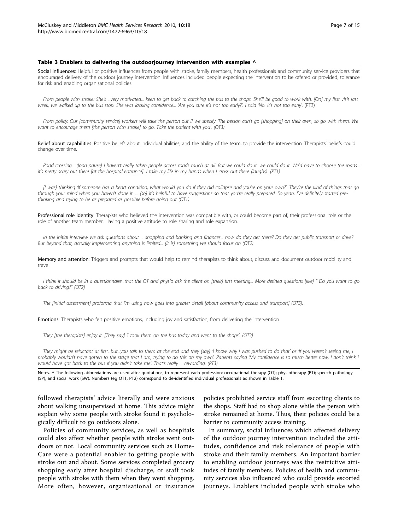#### <span id="page-6-0"></span>Table 3 Enablers to delivering the outdoorjourney intervention with examples ^

Social influences: Helpful or positive influences from people with stroke, family members, health professionals and community service providers that encouraged delivery of the outdoor journey intervention. Influences included people expecting the intervention to be offered or provided, tolerance for risk and enabling organisational policies.

From people with stroke: She's ...very motivated... keen to get back to catching the bus to the shops. She'll be good to work with. [On] my first visit last week, we walked up to the bus stop. She was lacking confidence... 'Are you sure it's not too early?'. I said 'No. It's not too early'. (PT3)

From policy: Our [community service] workers will take the person out if we specify 'The person can't go [shopping] on their own, so go with them. We want to encourage them [the person with stroke] to go. Take the patient with you'. (OT3)

Belief about capabilities: Positive beliefs about individual abilities, and the ability of the team, to provide the intervention. Therapists' beliefs could change over time.

Road crossing.....(long pause) I haven't really taken people across roads much at all. But we could do it...we could do it. We'd have to choose the roads... it's pretty scary out there [at the hospital entrance]...I take my life in my hands when I cross out there (laughs). (PT1)

[I was] thinking 'If someone has a heart condition, what would you do if they did collapse and you're on your own?'. They're the kind of things that go through your mind when you haven't done it. ... [so] it's helpful to have suggestions so that you're really prepared. So yeah, I've definitely started prethinking and trying to be as prepared as possible before going out (OT1)

Professional role identity: Therapists who believed the intervention was compatible with, or could become part of, their professional role or the role of another team member. Having a positive attitude to role sharing and role expansion.

In the initial interview we ask questions about ... shopping and banking and finances... how do they get there? Do they get public transport or drive? But beyond that, actually implementing anything is limited... [it is] something we should focus on (OT2)

Memory and attention: Triggers and prompts that would help to remind therapists to think about, discuss and document outdoor mobility and travel.

I think it should be in a questionnaire...that the OT and physio ask the client on [their] first meeting... More defined questions [like] " Do you want to go back to driving?" (OT2)

The [initial assessment] proforma that I'm using now goes into greater detail [about community access and transport] (OT5).

Emotions: Therapists who felt positive emotions, including joy and satisfaction, from delivering the intervention.

They [the therapists] enjoy it. [They say] 'I took them on the bus today and went to the shops'. (OT3)

They might be reluctant at first...but...you talk to them at the end and they [say] 'I know why I was pushed to do that' or 'If you weren't seeing me, I probably wouldn't have gotten to the stage that I am, trying to do this on my own'. Patients saying 'My confidence is so much better now, I don't think I would have got back to the bus if you didn't take me'. That's really ... rewarding. (PT3)

Notes. ^ The following abbreviations are used after quotations, to represent each profession: occupational therapy (OT); physiotherapy (PT); speech pathology (SP); and social work (SW). Numbers (eg OT1, PT2) correspond to de-identified individual professionals as shown in Table 1.

followed therapists' advice literally and were anxious about walking unsupervised at home. This advice might explain why some people with stroke found it psychologically difficult to go outdoors alone.

Policies of community services, as well as hospitals could also affect whether people with stroke went outdoors or not. Local community services such as Home-Care were a potential enabler to getting people with stroke out and about. Some services completed grocery shopping early after hospital discharge, or staff took people with stroke with them when they went shopping. More often, however, organisational or insurance

policies prohibited service staff from escorting clients to the shops. Staff had to shop alone while the person with stroke remained at home. Thus, their policies could be a barrier to community access training.

In summary, social influences which affected delivery of the outdoor journey intervention included the attitudes, confidence and risk tolerance of people with stroke and their family members. An important barrier to enabling outdoor journeys was the restrictive attitudes of family members. Policies of health and community services also influenced who could provide escorted journeys. Enablers included people with stroke who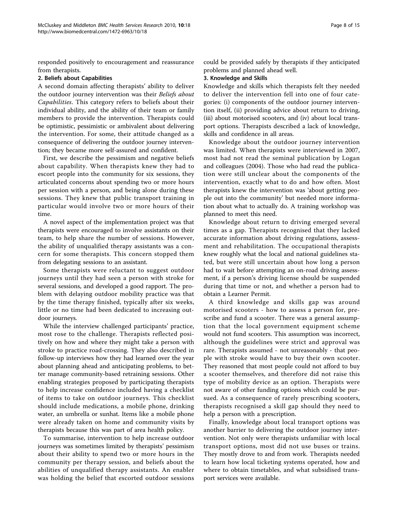responded positively to encouragement and reassurance from therapists.

# 2. Beliefs about Capabilities

A second domain affecting therapists' ability to deliver the outdoor journey intervention was their Beliefs about Capabilities. This category refers to beliefs about their individual ability, and the ability of their team or family members to provide the intervention. Therapists could be optimistic, pessimistic or ambivalent about delivering the intervention. For some, their attitude changed as a consequence of delivering the outdoor journey intervention; they became more self-assured and confident.

First, we describe the pessimism and negative beliefs about capability. When therapists knew they had to escort people into the community for six sessions, they articulated concerns about spending two or more hours per session with a person, and being alone during these sessions. They knew that public transport training in particular would involve two or more hours of their time.

A novel aspect of the implementation project was that therapists were encouraged to involve assistants on their team, to help share the number of sessions. However, the ability of unqualified therapy assistants was a concern for some therapists. This concern stopped them from delegating sessions to an assistant.

Some therapists were reluctant to suggest outdoor journeys until they had seen a person with stroke for several sessions, and developed a good rapport. The problem with delaying outdoor mobility practice was that by the time therapy finished, typically after six weeks, little or no time had been dedicated to increasing outdoor journeys.

While the interview challenged participants' practice, most rose to the challenge. Therapists reflected positively on how and where they might take a person with stroke to practice road-crossing. They also described in follow-up interviews how they had learned over the year about planning ahead and anticipating problems, to better manage community-based retraining sessions. Other enabling strategies proposed by participating therapists to help increase confidence included having a checklist of items to take on outdoor journeys. This checklist should include medications, a mobile phone, drinking water, an umbrella or sunhat. Items like a mobile phone were already taken on home and community visits by therapists because this was part of area health policy.

To summarise, intervention to help increase outdoor journeys was sometimes limited by therapists' pessimism about their ability to spend two or more hours in the community per therapy session, and beliefs about the abilities of unqualified therapy assistants. An enabler was holding the belief that escorted outdoor sessions could be provided safely by therapists if they anticipated problems and planned ahead well.

# 3. Knowledge and Skills

Knowledge and skills which therapists felt they needed to deliver the intervention fell into one of four categories: (i) components of the outdoor journey intervention itself, (ii) providing advice about return to driving, (iii) about motorised scooters, and (iv) about local transport options. Therapists described a lack of knowledge, skills and confidence in all areas.

Knowledge about the outdoor journey intervention was limited. When therapists were interviewed in 2007, most had not read the seminal publication by Logan and colleagues (2004). Those who had read the publication were still unclear about the components of the intervention, exactly what to do and how often. Most therapists knew the intervention was 'about getting people out into the community' but needed more information about what to actually do. A training workshop was planned to meet this need.

Knowledge about return to driving emerged several times as a gap. Therapists recognised that they lacked accurate information about driving regulations, assessment and rehabilitation. The occupational therapists knew roughly what the local and national guidelines stated, but were still uncertain about how long a person had to wait before attempting an on-road driving assessment, if a person's driving license should be suspended during that time or not, and whether a person had to obtain a Learner Permit.

A third knowledge and skills gap was around motorised scooters - how to assess a person for, prescribe and fund a scooter. There was a general assumption that the local government equipment scheme would not fund scooters. This assumption was incorrect, although the guidelines were strict and approval was rare. Therapists assumed - not unreasonably - that people with stroke would have to buy their own scooter. They reasoned that most people could not afford to buy a scooter themselves, and therefore did not raise this type of mobility device as an option. Therapists were not aware of other funding options which could be pursued. As a consequence of rarely prescribing scooters, therapists recognised a skill gap should they need to help a person with a prescription.

Finally, knowledge about local transport options was another barrier to delivering the outdoor journey intervention. Not only were therapists unfamiliar with local transport options, most did not use buses or trains. They mostly drove to and from work. Therapists needed to learn how local ticketing systems operated, how and where to obtain timetables, and what subsidised transport services were available.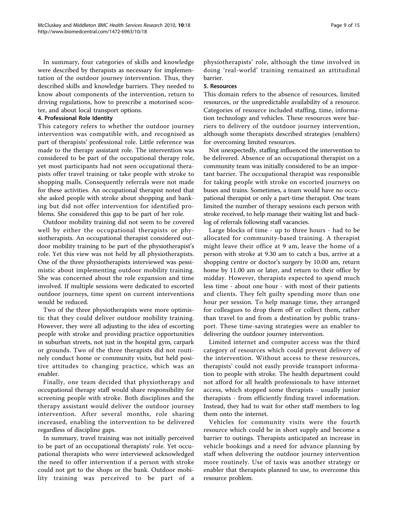In summary, four categories of skills and knowledge were described by therapists as necessary for implementation of the outdoor journey intervention. Thus, they described skills and knowledge barriers. They needed to know about components of the intervention, return to driving regulations, how to prescribe a motorised scooter, and about local transport options.

# 4. Professional Role Identity

This category refers to whether the outdoor journey intervention was compatible with, and recognised as part of therapists' professional role. Little reference was made to the therapy assistant role. The intervention was considered to be part of the occupational therapy role, yet most participants had not seen occupational therapists offer travel training or take people with stroke to shopping malls. Consequently referrals were not made for these activities. An occupational therapist noted that she asked people with stroke about shopping and banking but did not offer intervention for identified problems. She considered this gap to be part of her role.

Outdoor mobility training did not seem to be covered well by either the occupational therapists or physiotherapists. An occupational therapist considered outdoor mobility training to be part of the physiotherapist's role. Yet this view was not held by all physiotherapists. One of the three physiotherapists interviewed was pessimistic about implementing outdoor mobility training. She was concerned about the role expansion and time involved. If multiple sessions were dedicated to escorted outdoor journeys, time spent on current interventions would be reduced.

Two of the three physiotherapists were more optimistic that they could deliver outdoor mobility training. However, they were all adjusting to the idea of escorting people with stroke and providing practice opportunities in suburban streets, not just in the hospital gym, carpark or grounds. Two of the three therapists did not routinely conduct home or community visits, but held positive attitudes to changing practice, which was an enabler.

Finally, one team decided that physiotherapy and occupational therapy staff would share responsibility for screening people with stroke. Both disciplines and the therapy assistant would deliver the outdoor journey intervention. After several months, role sharing increased, enabling the intervention to be delivered regardless of discipline gaps.

In summary, travel training was not initially perceived to be part of an occupational therapists' role. Yet occupational therapists who were interviewed acknowledged the need to offer intervention if a person with stroke could not get to the shops or the bank. Outdoor mobility training was perceived to be part of a physiotherapists' role, although the time involved in doing 'real-world' training remained an attitudinal barrier.

#### 5. Resources

This domain refers to the absence of resources, limited resources, or the unpredictable availability of a resource. Categories of resource included staffing, time, information technology and vehicles. These resources were barriers to delivery of the outdoor journey intervention, although some therapists described strategies (enablers) for overcoming limited resources.

Not unexpectedly, staffing influenced the intervention to be delivered. Absence of an occupational therapist on a community team was initially considered to be an important barrier. The occupational therapist was responsible for taking people with stroke on escorted journeys on buses and trains. Sometimes, a team would have no occupational therapist or only a part-time therapist. One team limited the number of therapy sessions each person with stroke received, to help manage their waiting list and backlog of referrals following staff vacancies.

Large blocks of time - up to three hours - had to be allocated for community-based training. A therapist might leave their office at 9 am, leave the home of a person with stroke at 9.30 am to catch a bus, arrive at a shopping centre or doctor's surgery by 10.00 am, return home by 11.00 am or later, and return to their office by midday. However, therapists expected to spend much less time - about one hour - with most of their patients and clients. They felt guilty spending more than one hour per session. To help manage time, they arranged for colleagues to drop them off or collect them, rather than travel to and from a destination by public transport. These time-saving strategies were an enabler to delivering the outdoor journey intervention.

Limited internet and computer access was the third category of resources which could prevent delivery of the intervention. Without access to these resources, therapists' could not easily provide transport information to people with stroke. The health department could not afford for all health professionals to have internet access, which stopped some therapists - usually junior therapists - from efficiently finding travel information. Instead, they had to wait for other staff members to log them onto the internet.

Vehicles for community visits were the fourth resource which could be in short supply and become a barrier to outings. Therapists anticipated an increase in vehicle bookings and a need for advance planning by staff when delivering the outdoor journey intervention more routinely. Use of taxis was another strategy or enabler that therapists planned to use, to overcome this resource problem.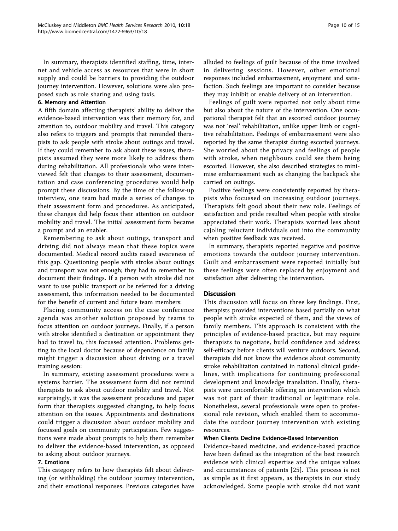In summary, therapists identified staffing, time, internet and vehicle access as resources that were in short supply and could be barriers to providing the outdoor journey intervention. However, solutions were also proposed such as role sharing and using taxis.

#### 6. Memory and Attention

A fifth domain affecting therapists' ability to deliver the evidence-based intervention was their memory for, and attention to, outdoor mobility and travel. This category also refers to triggers and prompts that reminded therapists to ask people with stroke about outings and travel. If they could remember to ask about these issues, therapists assumed they were more likely to address them during rehabilitation. All professionals who were interviewed felt that changes to their assessment, documentation and case conferencing procedures would help prompt these discussions. By the time of the follow-up interview, one team had made a series of changes to their assessment form and procedures. As anticipated, these changes did help focus their attention on outdoor mobility and travel. The initial assessment form became a prompt and an enabler.

Remembering to ask about outings, transport and driving did not always mean that these topics were documented. Medical record audits raised awareness of this gap. Questioning people with stroke about outings and transport was not enough; they had to remember to document their findings. If a person with stroke did not want to use public transport or be referred for a driving assessment, this information needed to be documented for the benefit of current and future team members:

Placing community access on the case conference agenda was another solution proposed by teams to focus attention on outdoor journeys. Finally, if a person with stroke identified a destination or appointment they had to travel to, this focussed attention. Problems getting to the local doctor because of dependence on family might trigger a discussion about driving or a travel training session:

In summary, existing assessment procedures were a systems barrier. The assessment form did not remind therapists to ask about outdoor mobility and travel. Not surprisingly, it was the assessment procedures and paper form that therapists suggested changing, to help focus attention on the issues. Appointments and destinations could trigger a discussion about outdoor mobility and focussed goals on community participation. Few suggestions were made about prompts to help them remember to deliver the evidence-based intervention, as opposed to asking about outdoor journeys.

#### 7. Emotions

This category refers to how therapists felt about delivering (or withholding) the outdoor journey intervention, and their emotional responses. Previous categories have alluded to feelings of guilt because of the time involved in delivering sessions. However, other emotional responses included embarrassment, enjoyment and satisfaction. Such feelings are important to consider because they may inhibit or enable delivery of an intervention.

Feelings of guilt were reported not only about time but also about the nature of the intervention. One occupational therapist felt that an escorted outdoor journey was not 'real' rehabilitation, unlike upper limb or cognitive rehabilitation. Feelings of embarrassment were also reported by the same therapist during escorted journeys. She worried about the privacy and feelings of people with stroke, when neighbours could see them being escorted. However, she also described strategies to minimise embarrassment such as changing the backpack she carried on outings.

Positive feelings were consistently reported by therapists who focussed on increasing outdoor journeys. Therapists felt good about their new role. Feelings of satisfaction and pride resulted when people with stroke appreciated their work. Therapists worried less about cajoling reluctant individuals out into the community when positive feedback was received.

In summary, therapists reported negative and positive emotions towards the outdoor journey intervention. Guilt and embarrassment were reported initially but these feelings were often replaced by enjoyment and satisfaction after delivering the intervention.

# **Discussion**

This discussion will focus on three key findings. First, therapists provided interventions based partially on what people with stroke expected of them, and the views of family members. This approach is consistent with the principles of evidence-based practice, but may require therapists to negotiate, build confidence and address self-efficacy before clients will venture outdoors. Second, therapists did not know the evidence about community stroke rehabilitation contained in national clinical guidelines, with implications for continuing professional development and knowledge translation. Finally, therapists were uncomfortable offering an intervention which was not part of their traditional or legitimate role. Nonetheless, several professionals were open to professional role revision, which enabled them to accommodate the outdoor journey intervention with existing resources.

# When Clients Decline Evidence-Based Intervention

Evidence-based medicine, and evidence-based practice have been defined as the integration of the best research evidence with clinical expertise and the unique values and circumstances of patients [\[25](#page-13-0)]. This process is not as simple as it first appears, as therapists in our study acknowledged. Some people with stroke did not want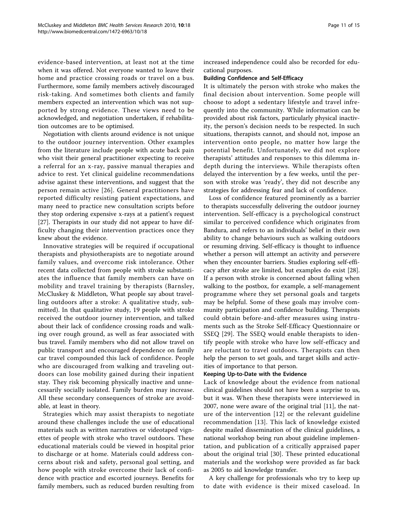evidence-based intervention, at least not at the time when it was offered. Not everyone wanted to leave their home and practice crossing roads or travel on a bus. Furthermore, some family members actively discouraged risk-taking. And sometimes both clients and family members expected an intervention which was not supported by strong evidence. These views need to be acknowledged, and negotiation undertaken, if rehabilitation outcomes are to be optimised.

Negotiation with clients around evidence is not unique to the outdoor journey intervention. Other examples from the literature include people with acute back pain who visit their general practitioner expecting to receive a referral for an x-ray, passive manual therapies and advice to rest. Yet clinical guideline recommendations advise against these interventions, and suggest that the person remain active [[26\]](#page-13-0). General practitioners have reported difficulty resisting patient expectations, and many need to practice new consultation scripts before they stop ordering expensive x-rays at a patient's request [[27\]](#page-13-0). Therapists in our study did not appear to have difficulty changing their intervention practices once they knew about the evidence.

Innovative strategies will be required if occupational therapists and physiotherapists are to negotiate around family values, and overcome risk intolerance. Other recent data collected from people with stroke substantiates the influence that family members can have on mobility and travel training by therapists (Barnsley, McCluskey & Middleton, What people say about travelling outdoors after a stroke: A qualitative study, submitted). In that qualitative study, 19 people with stroke received the outdoor journey intervention, and talked about their lack of confidence crossing roads and walking over rough ground, as well as fear associated with bus travel. Family members who did not allow travel on public transport and encouraged dependence on family car travel compounded this lack of confidence. People who are discouraged from walking and traveling outdoors can lose mobility gained during their inpatient stay. They risk becoming physically inactive and unnecessarily socially isolated. Family burden may increase. All these secondary consequences of stroke are avoidable, at least in theory.

Strategies which may assist therapists to negotiate around these challenges include the use of educational materials such as written narratives or videotaped vignettes of people with stroke who travel outdoors. These educational materials could be viewed in hospital prior to discharge or at home. Materials could address concerns about risk and safety, personal goal setting, and how people with stroke overcome their lack of confidence with practice and escorted journeys. Benefits for family members, such as reduced burden resulting from increased independence could also be recorded for educational purposes.

# Building Confidence and Self-Efficacy

It is ultimately the person with stroke who makes the final decision about intervention. Some people will choose to adopt a sedentary lifestyle and travel infrequently into the community. While information can be provided about risk factors, particularly physical inactivity, the person's decision needs to be respected. In such situations, therapists cannot, and should not, impose an intervention onto people, no matter how large the potential benefit. Unfortunately, we did not explore therapists' attitudes and responses to this dilemma indepth during the interviews. While therapists often delayed the intervention by a few weeks, until the person with stroke was 'ready', they did not describe any strategies for addressing fear and lack of confidence.

Loss of confidence featured prominently as a barrier to therapists successfully delivering the outdoor journey intervention. Self-efficacy is a psychological construct similar to perceived confidence which originates from Bandura, and refers to an individuals' belief in their own ability to change behaviours such as walking outdoors or resuming driving. Self-efficacy is thought to influence whether a person will attempt an activity and persevere when they encounter barriers. Studies exploring self-efficacy after stroke are limited, but examples do exist [\[28](#page-13-0)]. If a person with stroke is concerned about falling when walking to the postbox, for example, a self-management programme where they set personal goals and targets may be helpful. Some of these goals may involve community participation and confidence building. Therapists could obtain before-and-after measures using instruments such as the Stroke Self-Efficacy Questionnaire or SSEQ [[29](#page-13-0)]. The SSEQ would enable therapists to identify people with stroke who have low self-efficacy and are reluctant to travel outdoors. Therapists can then help the person to set goals, and target skills and activities of importance to that person.

# Keeping Up-to-Date with the Evidence

Lack of knowledge about the evidence from national clinical guidelines should not have been a surprise to us, but it was. When these therapists were interviewed in 2007, none were aware of the original trial [\[11](#page-13-0)], the nature of the intervention [[12](#page-13-0)] or the relevant guideline recommendation [[13\]](#page-13-0). This lack of knowledge existed despite mailed dissemination of the clinical guidelines, a national workshop being run about guideline implementation, and publication of a critically appraised paper about the original trial [\[30](#page-13-0)]. These printed educational materials and the workshop were provided as far back as 2005 to aid knowledge transfer.

A key challenge for professionals who try to keep up to date with evidence is their mixed caseload. In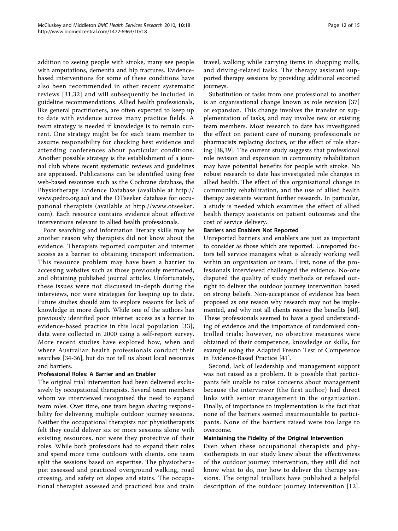addition to seeing people with stroke, many see people with amputations, dementia and hip fractures. Evidencebased interventions for some of these conditions have also been recommended in other recent systematic reviews [\[31,](#page-13-0)[32\]](#page-14-0) and will subsequently be included in guideline recommendations. Allied health professionals, like general practitioners, are often expected to keep up to date with evidence across many practice fields. A team strategy is needed if knowledge is to remain current. One strategy might be for each team member to assume responsibility for checking best evidence and attending conferences about particular conditions. Another possible strategy is the establishment of a journal club where recent systematic reviews and guidelines are appraised. Publications can be identified using free web-based resources such as the Cochrane database, the Physiotherapy Evidence Database (available at [http://](http://www.pedro.org.au) [www.pedro.org.au\)](http://www.pedro.org.au) and the OTseeker database for occupational therapists (available at [http://www.otseeker.](http://www.otseeker.com) [com\)](http://www.otseeker.com). Each resource contains evidence about effective interventions relevant to allied health professionals.

Poor searching and information literacy skills may be another reason why therapists did not know about the evidence. Therapists reported computer and internet access as a barrier to obtaining transport information. This resource problem may have been a barrier to accessing websites such as those previously mentioned, and obtaining published journal articles. Unfortunately, these issues were not discussed in-depth during the interviews, nor were strategies for keeping up to date. Future studies should aim to explore reasons for lack of knowledge in more depth. While one of the authors has previously identified poor internet access as a barrier to evidence-based practice in this local population [[33\]](#page-14-0), data were collected in 2000 using a self-report survey. More recent studies have explored how, when and where Australian health professionals conduct their searches [\[34-36](#page-14-0)], but do not tell us about local resources and barriers.

#### Professional Roles: A Barrier and an Enabler

The original trial intervention had been delivered exclusively by occupational therapists. Several team members whom we interviewed recognised the need to expand team roles. Over time, one team began sharing responsibility for delivering multiple outdoor journey sessions. Neither the occupational therapists nor physiotherapists felt they could deliver six or more sessions alone with existing resources, nor were they protective of their roles. While both professions had to expand their roles and spend more time outdoors with clients, one team split the sessions based on expertise. The physiotherapist assessed and practiced overground walking, road crossing, and safety on slopes and stairs. The occupational therapist assessed and practiced bus and train

travel, walking while carrying items in shopping malls, and driving-related tasks. The therapy assistant supported therapy sessions by providing additional escorted journeys.

Substitution of tasks from one professional to another is an organisational change known as role revision [\[37](#page-14-0)] or expansion. This change involves the transfer or supplementation of tasks, and may involve new or existing team members. Most research to date has investigated the effect on patient care of nursing professionals or pharmacists replacing doctors, or the effect of role sharing [[38,39\]](#page-14-0). The current study suggests that professional role revision and expansion in community rehabilitation may have potential benefits for people with stroke. No robust research to date has investigated role changes in allied health. The effect of this organisational change in community rehabilitation, and the use of allied health therapy assistants warrant further research. In particular, a study is needed which examines the effect of allied health therapy assistants on patient outcomes and the cost of service delivery.

# Barriers and Enablers Not Reported

Unreported barriers and enablers are just as important to consider as those which are reported. Unreported factors tell service managers what is already working well within an organisation or team. First, none of the professionals interviewed challenged the evidence. No-one disputed the quality of study methods or refused outright to deliver the outdoor journey intervention based on strong beliefs. Non-acceptance of evidence has been proposed as one reason why research may not be implemented, and why not all clients receive the benefits [[40](#page-14-0)]. These professionals seemed to have a good understanding of evidence and the importance of randomised controlled trials; however, no objective measures were obtained of their competence, knowledge or skills, for example using the Adapted Fresno Test of Competence in Evidence-Based Practice [\[41\]](#page-14-0).

Second, lack of leadership and management support was not raised as a problem. It is possible that participants felt unable to raise concerns about management because the interviewer (the first author) had direct links with senior management in the organisation. Finally, of importance to implementation is the fact that none of the barriers seemed insurmountable to participants. None of the barriers raised were too large to overcome.

#### Maintaining the Fidelity of the Original Intervention

Even when these occupational therapists and physiotherapists in our study knew about the effectiveness of the outdoor journey intervention, they still did not know what to do, nor how to deliver the therapy sessions. The original triallists have published a helpful description of the outdoor journey intervention [[12\]](#page-13-0).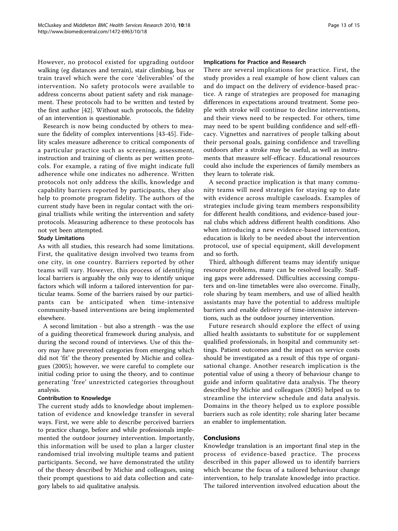However, no protocol existed for upgrading outdoor walking (eg distances and terrain), stair climbing, bus or train travel which were the core 'deliverables' of the intervention. No safety protocols were available to address concerns about patient safety and risk management. These protocols had to be written and tested by the first author [\[42](#page-14-0)]. Without such protocols, the fidelity of an intervention is questionable.

Research is now being conducted by others to measure the fidelity of complex interventions [[43-45\]](#page-14-0). Fidelity scales measure adherence to critical components of a particular practice such as screening, assessment, instruction and training of clients as per written protocols. For example, a rating of five might indicate full adherence while one indicates no adherence. Written protocols not only address the skills, knowledge and capability barriers reported by participants, they also help to promote program fidelity. The authors of the current study have been in regular contact with the original triallists while writing the intervention and safety protocols. Measuring adherence to these protocols has not yet been attempted.

# Study Limitations

As with all studies, this research had some limitations. First, the qualitative design involved two teams from one city, in one country. Barriers reported by other teams will vary. However, this process of identifying local barriers is arguably the only way to identify unique factors which will inform a tailored intervention for particular teams. Some of the barriers raised by our participants can be anticipated when time-intensive community-based interventions are being implemented elsewhere.

A second limitation - but also a strength - was the use of a guiding theoretical framework during analysis, and during the second round of interviews. Use of this theory may have prevented categories from emerging which did not 'fit' the theory presented by Michie and colleagues (2005); however, we were careful to complete our initial coding prior to using the theory, and to continue generating 'free' unrestricted categories throughout analysis.

# Contribution to Knowledge

The current study adds to knowledge about implementation of evidence and knowledge transfer in several ways. First, we were able to describe perceived barriers to practice change, before and while professionals implemented the outdoor journey intervention. Importantly, this information will be used to plan a larger cluster randomised trial involving multiple teams and patient participants. Second, we have demonstrated the utility of the theory described by Michie and colleagues, using their prompt questions to aid data collection and category labels to aid qualitative analysis.

#### Implications for Practice and Research

There are several implications for practice. First, the study provides a real example of how client values can and do impact on the delivery of evidence-based practice. A range of strategies are proposed for managing differences in expectations around treatment. Some people with stroke will continue to decline interventions, and their views need to be respected. For others, time may need to be spent building confidence and self-efficacy. Vignettes and narratives of people talking about their personal goals, gaining confidence and travelling outdoors after a stroke may be useful, as well as instruments that measure self-efficacy. Educational resources could also include the experiences of family members as they learn to tolerate risk.

A second practice implication is that many community teams will need strategies for staying up to date with evidence across multiple caseloads. Examples of strategies include giving team members responsibility for different health conditions, and evidence-based journal clubs which address different health conditions. Also when introducing a new evidence-based intervention, education is likely to be needed about the intervention protocol, use of special equipment, skill development and so forth.

Third, although different teams may identify unique resource problems, many can be resolved locally. Staffing gaps were addressed. Difficulties accessing computers and on-line timetables were also overcome. Finally, role sharing by team members, and use of allied health assistants may have the potential to address multiple barriers and enable delivery of time-intensive interventions, such as the outdoor journey intervention.

Future research should explore the effect of using allied health assistants to substitute for or supplement qualified professionals, in hospital and community settings. Patient outcomes and the impact on service costs should be investigated as a result of this type of organisational change. Another research implication is the potential value of using a theory of behaviour change to guide and inform qualitative data analysis. The theory described by Michie and colleagues (2005) helped us to streamline the interview schedule and data analysis. Domains in the theory helped us to explore possible barriers such as role identity; role sharing later became an enabler to implementation.

#### Conclusions

Knowledge translation is an important final step in the process of evidence-based practice. The process described in this paper allowed us to identify barriers which became the focus of a tailored behaviour change intervention, to help translate knowledge into practice. The tailored intervention involved education about the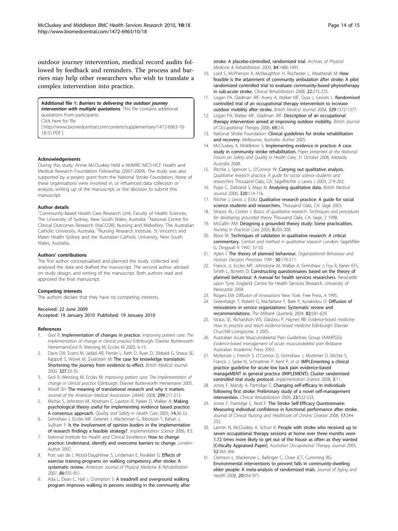<span id="page-13-0"></span>outdoor journey intervention, medical record audits followed by feedback and reminders. The process and barriers may help other researchers who wish to translate a complex intervention into practice.

Additional file 1: Barriers to delivering the outdoor journey

intervention with multiple quotations. This file contains additional

quotations from participants. Click here for file

[ http://www.biomedcentral.com/content/supplementary/1472-6963-10- 18-S1.PDF ]

#### Acknowledgements

During this study, Annie McCluskey held a NHMRC-NICS-HCF Health and Medical Research Foundation Fellowship (2007-2009). The study was also supported by a project grant from the National Stroke Foundation. None of these organisations were involved in, or influenced data collection or analysis, writing up of the manuscript, or the decision to submit this manuscript.

#### Author details

<sup>1</sup>Community-Based Health Care Research Unit, Faculty of Health Sciences, The University of Sydney, New South Wales, Australia. <sup>2</sup>National Centre for Clinical Outcomes Research (NaCCOR), Nursing and Midwifery, The Australian Catholic University, Australia. <sup>3</sup>Nursing Research Institute, St Vincent's and Mater Health Sydney and the Australian Catholic University, New South Wales, Australia.

#### Authors' contributions

The first author conceptualised and planned the study, collected and analysed the data and drafted the manuscript. The second author advised on study design, and writing of the manuscript. Both authors read and approved the final manuscript.

#### Competing interests

The authors declare that they have no competing interests.

#### Received: 22 June 2009

Accepted: 19 January 2010 Published: 19 January 2010

#### References

- Grol R: Implementation of changes in practice. Improving patient care: The implementation of change in clinical practice Edinburgh: Elsevier Butterworth HeinemannGrol R, Wensing M, Eccles M 2005, 6-15.
- 2. Davis DA, Evans M, Jadad AR, Perrier L, Rath D, Ryan D, Sibbald G, Straus SE, Rappolt S, Wowk M, Zwarstein M: [The case for knowledge translation:](http://www.ncbi.nlm.nih.gov/pubmed/12842955?dopt=Abstract) [Shortening the journey from evidence to effect.](http://www.ncbi.nlm.nih.gov/pubmed/12842955?dopt=Abstract) British Medical Journal 2003, 327:33-35.
- 3. Grol R, Wensing M, Eccles M: Improving patient care: The implementation of change in clinical practice Edinburgh: Elsevier Butterworth Heinemann 2005.
- 4. Woolf SH: The meaning of translational research and why it matters. Journal of the American Medical Association (JAMA) 2008, 299:211-213.
- 5. Michie S, Johnston M, Abraham C, Lawton R, Parker D, Walker A: [Making](http://www.ncbi.nlm.nih.gov/pubmed/15692000?dopt=Abstract) [psychological theory useful for implementing evidence based practice:](http://www.ncbi.nlm.nih.gov/pubmed/15692000?dopt=Abstract) [A consensus approach.](http://www.ncbi.nlm.nih.gov/pubmed/15692000?dopt=Abstract) Quality and Safety in Health Care 2005, 14:26-33.
- 6. Grimshaw J, Eccles MP, Greener J, Maclennan G, Ibbotson T, Kahan J, Sullivan F: [Is the involvement of opinion leaders in the implementation](http://www.ncbi.nlm.nih.gov/pubmed/16722572?dopt=Abstract) [of research findings a feasible strategy?.](http://www.ncbi.nlm.nih.gov/pubmed/16722572?dopt=Abstract) Implementation Science 2006, 1:3.
- 7. National Institute for Health and Clinical Excellence: How to change practice: Understand, identify and overcome barriers to change. London: Author 2007.
- 8. Port van de I, Wood-Dauphinee S, Lindeman E, Kwakkel G: Effects of exercise training programs on walking competency after stroke: A systematic review. American Journal of Physical Medicine & Rehabilitation 2007, 86:935-951.
- Ada L, Dean C, Hall J, Crompton S: A treadmill and overground walking program improves walking in persons residing in the community after

stroke: A placebo-controlled, randomized trial. Archives of Physical Medicine & Rehabilitation 2003, 84:1486-1491.

- 10. Lord S, McPherson K, McNaughton H, Rochester L, Weatherall M: [How](http://www.ncbi.nlm.nih.gov/pubmed/18285431?dopt=Abstract) [feasible is the attainment of community ambulation after stroke: A pilot](http://www.ncbi.nlm.nih.gov/pubmed/18285431?dopt=Abstract) [randomized controlled trial to evaluate community-based physiotherapy](http://www.ncbi.nlm.nih.gov/pubmed/18285431?dopt=Abstract) [in sub-acute stroke.](http://www.ncbi.nlm.nih.gov/pubmed/18285431?dopt=Abstract) Clinical Rehabilitation 2008, 22:215-225.
- 11. Logan PA, Gladman JRF, Avery A, Walker MF, Dyas J, Groom L: [Randomised](http://www.ncbi.nlm.nih.gov/pubmed/15564229?dopt=Abstract) [controlled trial of an occupational therapy intervention to increase](http://www.ncbi.nlm.nih.gov/pubmed/15564229?dopt=Abstract) [outdoor mobility after stroke.](http://www.ncbi.nlm.nih.gov/pubmed/15564229?dopt=Abstract) British Medical Journal 2004, 329:1372-1377.
- 12. Logan PA, Walker MF, Gladman JRF: Description of an occupational therapy intervention aimed at improving outdoor mobility. British Journal of Occupational Therapy 2006, 69:2-6.
- 13. National Stroke Foundation: Clinical guidelines for stroke rehabilitation and recovery. Melbourne, Australia: Author 2005.
- 14. McCluskey A, Middleton S: Implementing evidence in practice: A case study in community stroke rehabilitation. Paper presented at the National Forum on Safety and Quality in Health Care; 31 October 2008; Adelaide, Australia 2008.
- 15. Ritchie J, Spencer L, O'Connor W: Carrying out qualitative analysis. Qualitative research practice: A guide for social science students and researchers Thousand Oaks, CA: SageRitchie J, Lewis J 2003, 219-262.
- 16. Pope C, Ziebland S, Mays N: [Analysing qualitative data.](http://www.ncbi.nlm.nih.gov/pubmed/10625273?dopt=Abstract) British Medical Journal 2000, 320:114-116.
- 17. Ritchie J, Lewis J, (Eds): Qualitative research practice: A guide for social science students and researchers. Thousand Oaks, CA: Sage 2003.
- 18. Strauss AL, Corbin J: Basics of qualitative research: Techniques and procedures for developing grounded theory Thousand Oaks, CA: Sage, 2 1998.
- 19. McCallin AM: Designing a grounded theory study: Some practicalities. Nursing in Practical Care 2003, 8:203-208.
- 20. Bloor M: Techniques of validation in qualitative research: A critical commentary. Context and method in qualitative research London: SageMiller G, Dingwall R 1997, 37-50.
- 21. Ajzen I: The theory of planned behaviour. Organizational Behaviour and Human Decision Processes 1991, 50:179-211.
- 22. Francis JJ, Eccles MP, Johnstone M, Walker A, Grimshaw J, Foy R, Kaner EFS, Smith L, Bonetti D: Constructing questionnaires based on the theory of planned behaviour: A manual for health services researchers. Newcastle upon Tyne, England: Centre for Health Services Research, University of Newcastle 2004.
- 23. Rogers EM: Diffusion of innovations New York: Free Press, 4 1995.
- 24. Greenhalgh T, Robert G, Macfarlane F, Bate P, Kyriakidou O: [Diffusion of](http://www.ncbi.nlm.nih.gov/pubmed/15595944?dopt=Abstract) [innovations in service organizations: Systematic review and](http://www.ncbi.nlm.nih.gov/pubmed/15595944?dopt=Abstract) [recommendations.](http://www.ncbi.nlm.nih.gov/pubmed/15595944?dopt=Abstract) The Milbank Quarterly 2004, 82:581-629.
- 25. Straus SE, Richardson WS, Glasziou P, Haynes RB: Evidence-based medicine: How to practice and teach evidence-based medicine Edinburgh: Elsevier Churchill Livingstone, 3 2005.
- 26. Australian Acute Musculoskeletal Pain Guidelines Group (AAMPGG): Evidence-based management of acute musculoskeletal pain Brisbane: Australian Academic Press 2003.
- 27. McKenzie J, French S, O'Connor D, Grimshaw J, Mortimer D, Michie S, Francis J, Spike N, Schnattner P, Kent P, et al: **[IMPLEmenting a clinical](http://www.ncbi.nlm.nih.gov/pubmed/18294375?dopt=Abstract)** [practice guideline for acute low back pain evidence-based](http://www.ncbi.nlm.nih.gov/pubmed/18294375?dopt=Abstract) [manageMENT in general practice \(IMPLEMENT\): Cluster randomised](http://www.ncbi.nlm.nih.gov/pubmed/18294375?dopt=Abstract) [controlled trial study protocol.](http://www.ncbi.nlm.nih.gov/pubmed/18294375?dopt=Abstract) Implementation Science 2008, 3:11.
- 28. Jones F, Mandy A, Partridge C: [Changing self-efficacy in individuals](http://www.ncbi.nlm.nih.gov/pubmed/19403556?dopt=Abstract) [following first stroke: Preliminary study of a novel self-management](http://www.ncbi.nlm.nih.gov/pubmed/19403556?dopt=Abstract) [intervention.](http://www.ncbi.nlm.nih.gov/pubmed/19403556?dopt=Abstract) Clinical Rehabilitation 2009, 23:522-533.
- Jones F, Partridge C, Reid F: The Stroke Self-Efficacy Questionnaire: Measuring individual confidence in functional performance after stroke. Journal of Clinical Nursing and Healthcare of Chronic Disease 2008, 17:244- 252.
- 30. Lannin N, McCluskey A, Schurr K: People with stroke who received up to seven occupational therapy sessions at home over three months were 1.72 times more likely to get out of the house as often as they wanted [Critically Appraised Paper]. Australian Occupational Therapy Journal 2005, 52:365-366.
- 31. Clemson L, Mackenzie L, Ballinger C, Close JCT, Cumming RG: [Environmental interventions to prevent falls in community-dwelling](http://www.ncbi.nlm.nih.gov/pubmed/18815408?dopt=Abstract) [older people: A meta-analysis of randomized trials.](http://www.ncbi.nlm.nih.gov/pubmed/18815408?dopt=Abstract) Journal of Aging and Health 2008, 20:954-971.